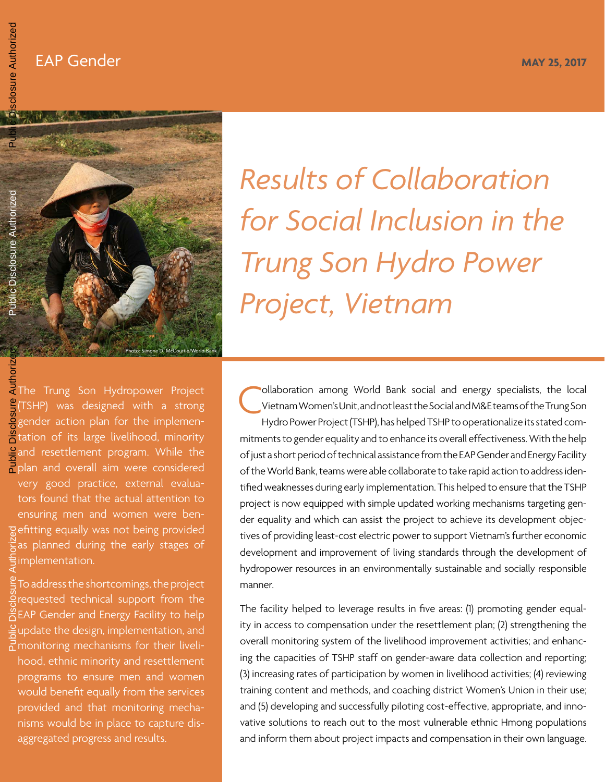### EAP Gender May 25, 2017



# *Results of Collaboration for Social Inclusion in the Trung Son Hydro Power Project, Vietnam*

The Trung Son Hydropower Project **g**(TSHP) was designed with a strong gender action plan for the implemen-**A** tation of its large livelihood, minority and resettlement program. While the Pplan and overall aim were considered very good practice, external evaluators found that the actual attention to ensuring men and women were benefitting equally was not being provided as planned during the early stages of implementation. Public Disclosure Authorized

To address the shortcomings, the project requested technical support from the EAP Gender and Energy Facility to help  $\frac{1}{2}$ update the design, implementation, and monitoring mechanisms for their livelihood, ethnic minority and resettlement programs to ensure men and women would benefit equally from the services provided and that monitoring mechanisms would be in place to capture disaggregated progress and results. Public Disclosure Authorized

ollaboration among World Bank social and energy specialists, the local Vietnam Women's Unit, and not least the Social and M&E teams of the Trung Son Hydro Power Project (TSHP), has helped TSHP to operationalize its stated commitments to gender equality and to enhance its overall effectiveness. With the help of just a short period of technical assistance from the EAP Gender and Energy Facility of the World Bank, teams were able collaborate to take rapid action to address identified weaknesses during early implementation. This helped to ensure that the TSHP project is now equipped with simple updated working mechanisms targeting gender equality and which can assist the project to achieve its development objectives of providing least-cost electric power to support Vietnam's further economic development and improvement of living standards through the development of hydropower resources in an environmentally sustainable and socially responsible manner. C

The facility helped to leverage results in five areas: (1) promoting gender equality in access to compensation under the resettlement plan; (2) strengthening the overall monitoring system of the livelihood improvement activities; and enhancing the capacities of TSHP staff on gender-aware data collection and reporting; (3) increasing rates of participation by women in livelihood activities; (4) reviewing training content and methods, and coaching district Women's Union in their use; and (5) developing and successfully piloting cost-effective, appropriate, and innovative solutions to reach out to the most vulnerable ethnic Hmong populations and inform them about project impacts and compensation in their own language.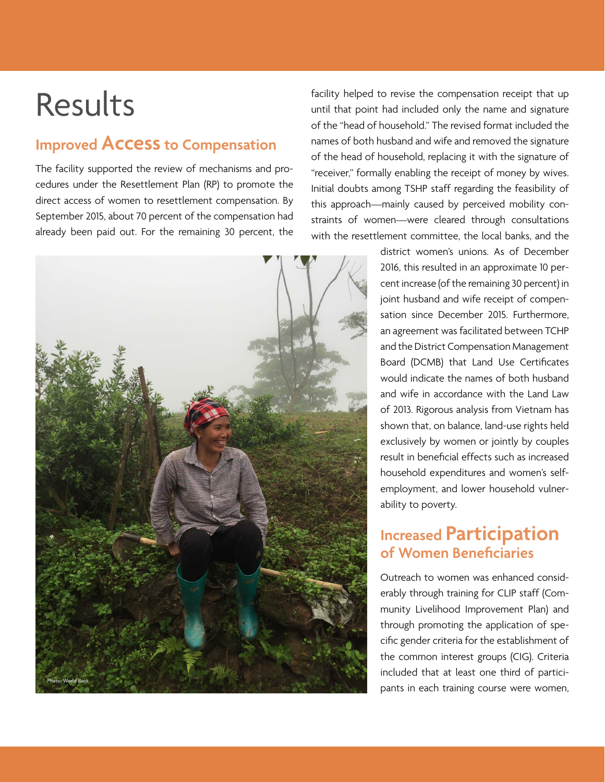# Results

# **Improved Access to Compensation**

The facility supported the review of mechanisms and procedures under the Resettlement Plan (RP) to promote the direct access of women to resettlement compensation. By September 2015, about 70 percent of the compensation had already been paid out. For the remaining 30 percent, the

facility helped to revise the compensation receipt that up until that point had included only the name and signature of the "head of household." The revised format included the names of both husband and wife and removed the signature of the head of household, replacing it with the signature of "receiver," formally enabling the receipt of money by wives. Initial doubts among TSHP staff regarding the feasibility of this approach—mainly caused by perceived mobility constraints of women—were cleared through consultations with the resettlement committee, the local banks, and the



district women's unions. As of December 2016, this resulted in an approximate 10 percent increase (of the remaining 30 percent) in joint husband and wife receipt of compensation since December 2015. Furthermore, an agreement was facilitated between TCHP and the District Compensation Management Board (DCMB) that Land Use Certificates would indicate the names of both husband and wife in accordance with the Land Law of 2013. Rigorous analysis from Vietnam has shown that, on balance, land-use rights held exclusively by women or jointly by couples result in beneficial effects such as increased household expenditures and women's selfemployment, and lower household vulnerability to poverty.

## **Increased Participation of Women Beneficiaries**

Outreach to women was enhanced considerably through training for CLIP staff (Community Livelihood Improvement Plan) and through promoting the application of specific gender criteria for the establishment of the common interest groups (CIG). Criteria included that at least one third of participants in each training course were women,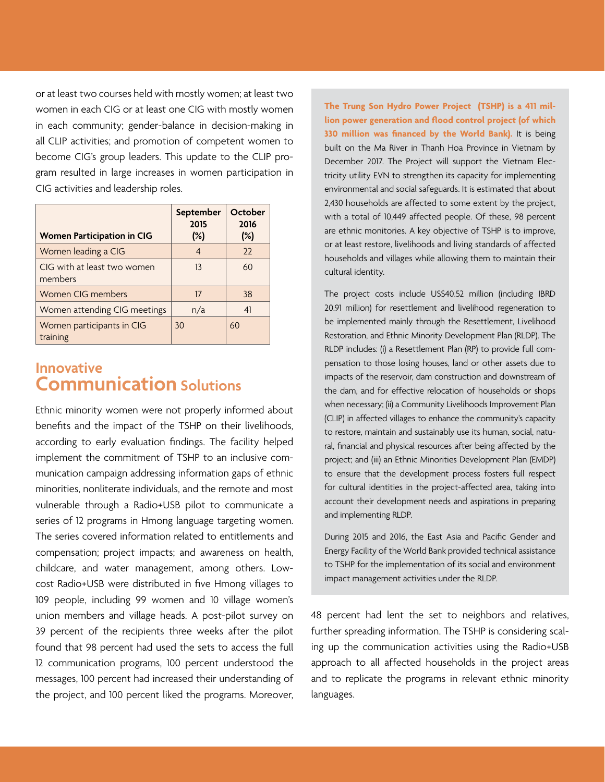or at least two courses held with mostly women; at least two women in each CIG or at least one CIG with mostly women in each community; gender-balance in decision-making in all CLIP activities; and promotion of competent women to become CIG's group leaders. This update to the CLIP program resulted in large increases in women participation in CIG activities and leadership roles.

| <b>Women Participation in CIG</b>      | September<br>2015<br>$(\%)$ | October<br>2016<br>$(\%)$ |
|----------------------------------------|-----------------------------|---------------------------|
| Women leading a CIG                    | 4                           | 22                        |
| CIG with at least two women<br>members | 13                          | 60                        |
| Women CIG members                      | 17                          | 38                        |
| Women attending CIG meetings           | n/a                         | 41                        |
| Women participants in CIG<br>training  | 30                          | 60                        |

#### **Innovative Communication Solutions**

Ethnic minority women were not properly informed about benefits and the impact of the TSHP on their livelihoods, according to early evaluation findings. The facility helped implement the commitment of TSHP to an inclusive communication campaign addressing information gaps of ethnic minorities, nonliterate individuals, and the remote and most vulnerable through a Radio+USB pilot to communicate a series of 12 programs in Hmong language targeting women. The series covered information related to entitlements and compensation; project impacts; and awareness on health, childcare, and water management, among others. Lowcost Radio+USB were distributed in five Hmong villages to 109 people, including 99 women and 10 village women's union members and village heads. A post-pilot survey on 39 percent of the recipients three weeks after the pilot found that 98 percent had used the sets to access the full 12 communication programs, 100 percent understood the messages, 100 percent had increased their understanding of the project, and 100 percent liked the programs. Moreover,

**The Trung Son Hydro Power Project (TSHP) is a 411 million power generation and flood control project (of which 330 million was financed by the World Bank).** It is being built on the Ma River in Thanh Hoa Province in Vietnam by December 2017. The Project will support the Vietnam Electricity utility EVN to strengthen its capacity for implementing environmental and social safeguards. It is estimated that about 2,430 households are affected to some extent by the project, with a total of 10,449 affected people. Of these, 98 percent are ethnic monitories. A key objective of TSHP is to improve, or at least restore, livelihoods and living standards of affected households and villages while allowing them to maintain their cultural identity.

The project costs include US\$40.52 million (including IBRD 20.91 million) for resettlement and livelihood regeneration to be implemented mainly through the Resettlement, Livelihood Restoration, and Ethnic Minority Development Plan (RLDP). The RLDP includes: (i) a Resettlement Plan (RP) to provide full compensation to those losing houses, land or other assets due to impacts of the reservoir, dam construction and downstream of the dam, and for effective relocation of households or shops when necessary; (ii) a Community Livelihoods Improvement Plan (CLIP) in affected villages to enhance the community's capacity to restore, maintain and sustainably use its human, social, natural, financial and physical resources after being affected by the project; and (iii) an Ethnic Minorities Development Plan (EMDP) to ensure that the development process fosters full respect for cultural identities in the project-affected area, taking into account their development needs and aspirations in preparing and implementing RLDP.

During 2015 and 2016, the East Asia and Pacific Gender and Energy Facility of the World Bank provided technical assistance to TSHP for the implementation of its social and environment impact management activities under the RLDP.

48 percent had lent the set to neighbors and relatives, further spreading information. The TSHP is considering scaling up the communication activities using the Radio+USB approach to all affected households in the project areas and to replicate the programs in relevant ethnic minority languages.